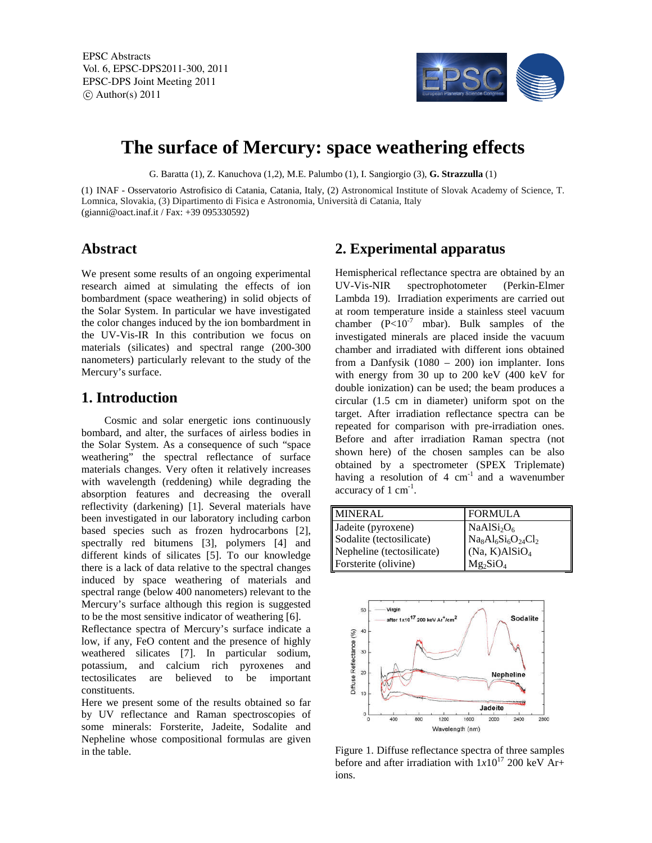EPSC Abstracts Vol. 6, EPSC-DPS2011-300, 2011 EPSC-DPS Joint Meeting 2011  $\circ$  Author(s) 2011



# **The surface of Mercury: space weathering effects**

G. Baratta (1), Z. Kanuchova (1,2), M.E. Palumbo (1), I. Sangiorgio (3), **G. Strazzulla** (1)

(1) INAF - Osservatorio Astrofisico di Catania, Catania, Italy, (2) Astronomical Institute of Slovak Academy of Science, T. Lomnica, Slovakia, (3) Dipartimento di Fisica e Astronomia, Università di Catania, Italy (gianni@oact.inaf.it / Fax: +39 095330592)

### **Abstract**

We present some results of an ongoing experimental research aimed at simulating the effects of ion bombardment (space weathering) in solid objects of the Solar System. In particular we have investigated the color changes induced by the ion bombardment in the UV-Vis-IR In this contribution we focus on materials (silicates) and spectral range (200-300 nanometers) particularly relevant to the study of the Mercury's surface.

### **1. Introduction**

Cosmic and solar energetic ions continuously bombard, and alter, the surfaces of airless bodies in the Solar System. As a consequence of such "space weathering" the spectral reflectance of surface materials changes. Very often it relatively increases with wavelength (reddening) while degrading the absorption features and decreasing the overall reflectivity (darkening) [1]. Several materials have been investigated in our laboratory including carbon based species such as frozen hydrocarbons [2], spectrally red bitumens [3], polymers [4] and different kinds of silicates [5]. To our knowledge there is a lack of data relative to the spectral changes induced by space weathering of materials and spectral range (below 400 nanometers) relevant to the Mercury's surface although this region is suggested to be the most sensitive indicator of weathering [6].

Reflectance spectra of Mercury's surface indicate a low, if any, FeO content and the presence of highly weathered silicates [7]. In particular sodium, potassium, and calcium rich pyroxenes and tectosilicates are believed to be important constituents.

Here we present some of the results obtained so far by UV reflectance and Raman spectroscopies of some minerals: Forsterite, Jadeite, Sodalite and Nepheline whose compositional formulas are given in the table.

## **2. Experimental apparatus**

Hemispherical reflectance spectra are obtained by an UV-Vis-NIR spectrophotometer (Perkin-Elmer Lambda 19). Irradiation experiments are carried out at room temperature inside a stainless steel vacuum chamber  $(P<10<sup>-7</sup>$  mbar). Bulk samples of the investigated minerals are placed inside the vacuum chamber and irradiated with different ions obtained from a Danfysik (1080 – 200) ion implanter. Ions with energy from 30 up to 200 keV (400 keV for double ionization) can be used; the beam produces a circular (1.5 cm in diameter) uniform spot on the target. After irradiation reflectance spectra can be repeated for comparison with pre-irradiation ones. Before and after irradiation Raman spectra (not shown here) of the chosen samples can be also obtained by a spectrometer (SPEX Triplemate) having a resolution of  $4 \text{ cm}^{-1}$  and a wavenumber  $\arccuracy$  of 1 cm<sup>-1</sup>.

| MINERAL                   | <b>FORMULA</b>                                                        |
|---------------------------|-----------------------------------------------------------------------|
| Jadeite (pyroxene)        | NaAlSi <sub>2</sub> O <sub>6</sub>                                    |
| Sodalite (tectosilicate)  | $\mathbf{Na}_8\mathbf{Al}_6\mathbf{Si}_6\mathbf{O}_{24}\mathbf{Cl}_2$ |
| Nepheline (tectosilicate) | (Na, K)AISiO <sub>4</sub>                                             |
| Forsterite (olivine)      | $Mg_2SiO_4$                                                           |



Figure 1. Diffuse reflectance spectra of three samples before and after irradiation with  $1x10^{17}$  200 keV Ar+ ions.